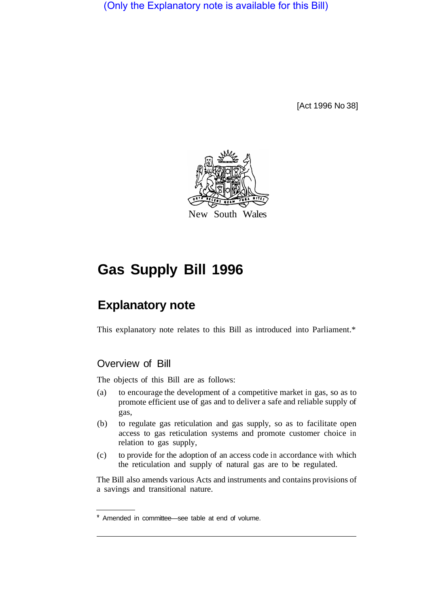(Only the Explanatory note is available for this Bill)

[Act 1996 No 38]



# **Gas Supply Bill 1996**

## **Explanatory note**

This explanatory note relates to this Bill as introduced into Parliament.\*

### Overview of Bill

The objects of this Bill are as follows:

- (a) to encourage the development of a competitive market in gas, so as to promote efficient use of gas and to deliver a safe and reliable supply of gas,
- (b) to regulate gas reticulation and gas supply, so as to facilitate open access to gas reticulation systems and promote customer choice in relation to gas supply,
- (c) to provide for the adoption of an access code in accordance with which the reticulation and supply of natural gas are to be regulated.

The Bill also amends various Acts and instruments and contains provisions of a savings and transitional nature.

Amended in committee—see table at end of volume.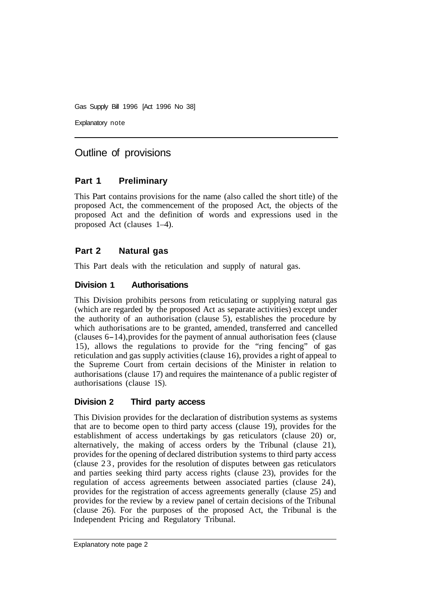Explanatory note

## Outline of provisions

#### **Part 1 Preliminary**

This Part contains provisions for the name (also called the short title) of the proposed Act, the commencement of the proposed Act, the objects of the proposed Act and the definition of words and expressions used in the proposed Act (clauses 1–4).

#### **Part 2 Natural gas**

This Part deals with the reticulation and supply of natural gas.

#### **Division 1 Authorisations**

This Division prohibits persons from reticulating or supplying natural gas (which are regarded by the proposed Act as separate activities) except under the authority of an authorisation (clause 5), establishes the procedure by which authorisations are to be granted, amended, transferred and cancelled (clauses 6-14), provides for the payment of annual authorisation fees (clause 15), allows the regulations to provide for the "ring fencing" of gas reticulation and gas supply activities (clause 16), provides a right of appeal to the Supreme Court from certain decisions of the Minister in relation to authorisations (clause 17) and requires the maintenance of a public register of authorisations (clause 1S).

#### **Division 2 Third party access**

This Division provides for the declaration of distribution systems as systems that are to become open to third party access (clause 19), provides for the establishment of access undertakings by gas reticulators (clause 20) or, alternatively, the making of access orders by the Tribunal (clause 21), provides for the opening of declared distribution systems to third party access (clause 23, provides for the resolution of disputes between gas reticulators and parties seeking third party access rights (clause 23), provides for the regulation of access agreements between associated parties (clause 24), provides for the registration of access agreements generally (clause 25) and provides for the review by a review panel of certain decisions of the Tribunal (clause 26). For the purposes of the proposed Act, the Tribunal is the Independent Pricing and Regulatory Tribunal.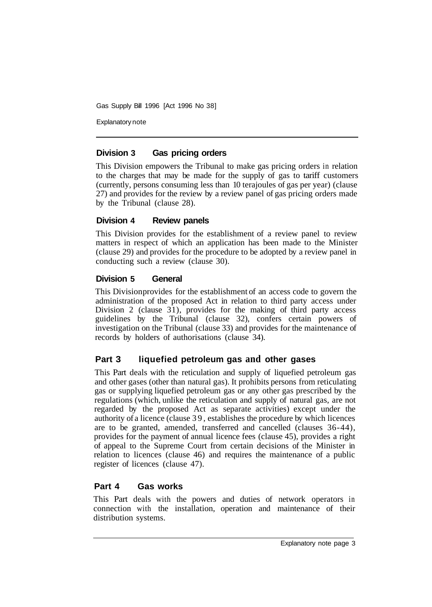Explanatory note

#### **Division 3 Gas pricing orders**

This Division empowers the Tribunal to make gas pricing orders in relation to the charges that may be made for the supply of gas to tariff customers (currently, persons consuming less than 10 terajoules of gas per year) (clause 27) and provides for the review by a review panel of gas pricing orders made by the Tribunal (clause 28).

#### **Division 4 Review panels**

This Division provides for the establishment of a review panel to review matters in respect of which an application has been made to the Minister (clause 29) and provides for the procedure to be adopted by a review panel in conducting such a review (clause 30).

#### **Division 5 General**

This Division provides for the establishment of an access code to govern the administration of the proposed Act in relation to third party access under Division 2 (clause 31), provides for the making of third party access guidelines by the Tribunal (clause 32), confers certain powers of investigation on the Tribunal (clause 33) and provides for the maintenance of records by holders of authorisations (clause 34).

#### **Part 3 liquefied petroleum gas and other gases**

This Part deals with the reticulation and supply of liquefied petroleum gas and other gases (other than natural gas). It prohibits persons from reticulating gas or supplying liquefied petroleum gas or any other gas prescribed by the regulations (which, unlike the reticulation and supply of natural gas, are not regarded by the proposed Act as separate activities) except under the authority of a licence (clause 39, establishes the procedure by which licences are to be granted, amended, transferred and cancelled (clauses 36-44), provides for the payment of annual licence fees (clause 45), provides a right of appeal to the Supreme Court from certain decisions of the Minister in relation to licences (clause 46) and requires the maintenance of a public register of licences (clause 47).

#### **Part 4 Gas works**

This Part deals with the powers and duties of network operators in connection with the installation, operation and maintenance of their distribution systems.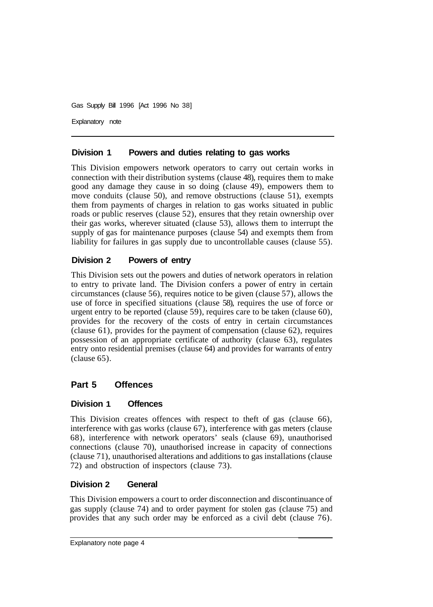Explanatory note

#### **Division 1 Powers and duties relating to gas works**

This Division empowers network operators to carry out certain works in connection with their distribution systems (clause 48), requires them to make good any damage they cause in so doing (clause 49), empowers them to move conduits (clause 50), and remove obstructions (clause 51), exempts them from payments of charges in relation to gas works situated in public roads or public reserves (clause 52), ensures that they retain ownership over their gas works, wherever situated (clause 53), allows them to interrupt the supply of gas for maintenance purposes (clause 54) and exempts them from liability for failures in gas supply due to uncontrollable causes (clause 55).

#### **Division 2 Powers of entry**

This Division sets out the powers and duties of network operators in relation to entry to private land. The Division confers a power of entry in certain circumstances (clause 56), requires notice to be given (clause 57), allows the use of force in specified situations (clause 58), requires the use of force or urgent entry to be reported (clause 59), requires care to be taken (clause 60), provides for the recovery of the costs of entry in certain circumstances (clause 61), provides for the payment of compensation (clause 62), requires possession of an appropriate certificate of authority (clause 63), regulates entry onto residential premises (clause 64) and provides for warrants of entry (clause 65).

#### **Part 5 Offences**

#### **Division 1 Offences**

This Division creates offences with respect to theft of gas (clause 66), interference with gas works (clause 67), interference with gas meters (clause 68), interference with network operators' seals (clause 69), unauthorised connections (clause 70), unauthorised increase in capacity of connections (clause 71), unauthorised alterations and additions to gas installations (clause 72) and obstruction of inspectors (clause 73).

#### **Division 2 General**

This Division empowers a court to order disconnection and discontinuance of gas supply (clause 74) and to order payment for stolen gas (clause 75) and provides that any such order may be enforced as a civil debt (clause 76).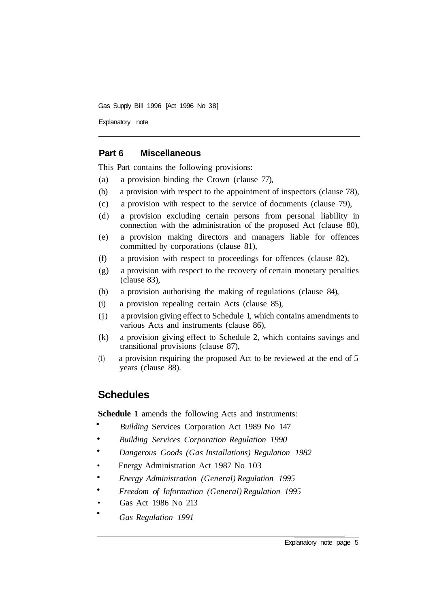Explanatory note

#### **Part 6 Miscellaneous**

This Part contains the following provisions:

- (a) a provision binding the Crown (clause 77),
- (b) a provision with respect to the appointment of inspectors (clause 78),
- (c) a provision with respect to the service of documents (clause 79),
- (d) a provision excluding certain persons from personal liability in connection with the administration of the proposed Act (clause 80),
- (e) a provision making directors and managers liable for offences committed by corporations (clause 81),
- (f) a provision with respect to proceedings for offences (clause 82),
- (g) a provision with respect to the recovery of certain monetary penalties (clause 83),
- (h) a provision authorising the making of regulations (clause 84),
- (i) a provision repealing certain Acts (clause 85),
- (j) a provision giving effect to Schedule 1, which contains amendments to various Acts and instruments (clause 86),
- (k) a provision giving effect to Schedule 2, which contains savings and transitional provisions (clause 87),
- (1) a provision requiring the proposed Act to be reviewed at the end of 5 years (clause 88).

#### **Schedules**

•

**Schedule 1** amends the following Acts and instruments:

- *Building* Services Corporation Act 1989 No 147 •
- *Building Services Corporation Regulation 1990*  •
- *Dangerous Goods (Gas Installations) Regulation 1982*  •
- Energy Administration Act 1987 No 103
- *Energy Administration (General) Regulation 1995*  •
- *Freedom of Information (General) Regulation 1995*  •
- Gas Act 1986 No 213
- *Gas Regulation 1991*